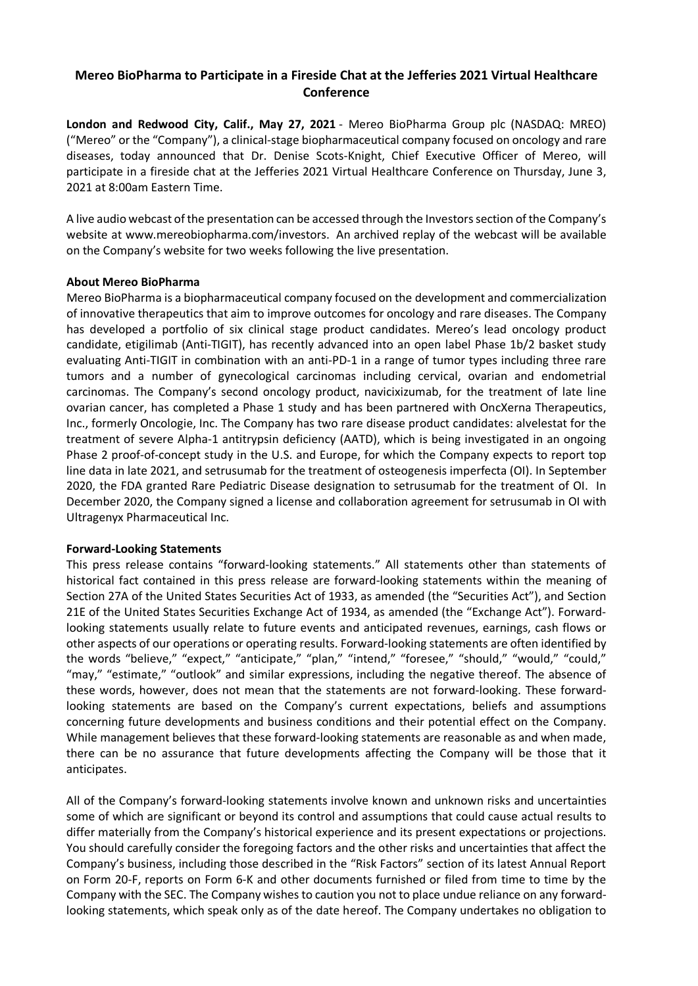## **Mereo BioPharma to Participate in a Fireside Chat at the Jefferies 2021 Virtual Healthcare Conference**

**London and Redwood City, Calif., May 27, 2021** - Mereo BioPharma Group plc (NASDAQ: MREO) ("Mereo" or the "Company"), a clinical-stage biopharmaceutical company focused on oncology and rare diseases, today announced that Dr. Denise Scots-Knight, Chief Executive Officer of Mereo, will participate in a fireside chat at the Jefferies 2021 Virtual Healthcare Conference on Thursday, June 3, 2021 at 8:00am Eastern Time.

A live audio webcast of the presentation can be accessed through the Investors section of the Company's website at www.mereobiopharma.com/investors. An archived replay of the webcast will be available on the Company's website for two weeks following the live presentation.

## **About Mereo BioPharma**

Mereo BioPharma is a biopharmaceutical company focused on the development and commercialization of innovative therapeutics that aim to improve outcomes for oncology and rare diseases. The Company has developed a portfolio of six clinical stage product candidates. Mereo's lead oncology product candidate, etigilimab (Anti-TIGIT), has recently advanced into an open label Phase 1b/2 basket study evaluating Anti-TIGIT in combination with an anti-PD-1 in a range of tumor types including three rare tumors and a number of gynecological carcinomas including cervical, ovarian and endometrial carcinomas. The Company's second oncology product, navicixizumab, for the treatment of late line ovarian cancer, has completed a Phase 1 study and has been partnered with OncXerna Therapeutics, Inc., formerly Oncologie, Inc. The Company has two rare disease product candidates: alvelestat for the treatment of severe Alpha-1 antitrypsin deficiency (AATD), which is being investigated in an ongoing Phase 2 proof-of-concept study in the U.S. and Europe, for which the Company expects to report top line data in late 2021, and setrusumab for the treatment of osteogenesis imperfecta (OI). In September 2020, the FDA granted Rare Pediatric Disease designation to setrusumab for the treatment of OI. In December 2020, the Company signed a license and collaboration agreement for setrusumab in OI with Ultragenyx Pharmaceutical Inc.

## **Forward-Looking Statements**

This press release contains "forward-looking statements." All statements other than statements of historical fact contained in this press release are forward-looking statements within the meaning of Section 27A of the United States Securities Act of 1933, as amended (the "Securities Act"), and Section 21E of the United States Securities Exchange Act of 1934, as amended (the "Exchange Act"). Forwardlooking statements usually relate to future events and anticipated revenues, earnings, cash flows or other aspects of our operations or operating results. Forward-looking statements are often identified by the words "believe," "expect," "anticipate," "plan," "intend," "foresee," "should," "would," "could," "may," "estimate," "outlook" and similar expressions, including the negative thereof. The absence of these words, however, does not mean that the statements are not forward-looking. These forwardlooking statements are based on the Company's current expectations, beliefs and assumptions concerning future developments and business conditions and their potential effect on the Company. While management believes that these forward-looking statements are reasonable as and when made, there can be no assurance that future developments affecting the Company will be those that it anticipates.

All of the Company's forward-looking statements involve known and unknown risks and uncertainties some of which are significant or beyond its control and assumptions that could cause actual results to differ materially from the Company's historical experience and its present expectations or projections. You should carefully consider the foregoing factors and the other risks and uncertainties that affect the Company's business, including those described in the "Risk Factors" section of its latest Annual Report on Form 20-F, reports on Form 6-K and other documents furnished or filed from time to time by the Company with the SEC. The Company wishes to caution you not to place undue reliance on any forwardlooking statements, which speak only as of the date hereof. The Company undertakes no obligation to